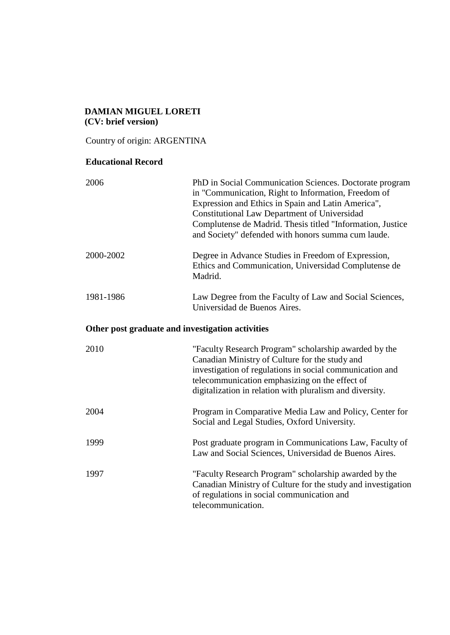### **DAMIAN MIGUEL LORETI (CV: brief version)**

Country of origin: ARGENTINA

# **Educational Record**

| 2006                                             | PhD in Social Communication Sciences. Doctorate program<br>in "Communication, Right to Information, Freedom of<br>Expression and Ethics in Spain and Latin America",<br><b>Constitutional Law Department of Universidad</b><br>Complutense de Madrid. Thesis titled "Information, Justice<br>and Society" defended with honors summa cum laude. |  |
|--------------------------------------------------|-------------------------------------------------------------------------------------------------------------------------------------------------------------------------------------------------------------------------------------------------------------------------------------------------------------------------------------------------|--|
| 2000-2002                                        | Degree in Advance Studies in Freedom of Expression,<br>Ethics and Communication, Universidad Complutense de<br>Madrid.                                                                                                                                                                                                                          |  |
| 1981-1986                                        | Law Degree from the Faculty of Law and Social Sciences,<br>Universidad de Buenos Aires.                                                                                                                                                                                                                                                         |  |
| Other post graduate and investigation activities |                                                                                                                                                                                                                                                                                                                                                 |  |
| 2010                                             | "Faculty Research Program" scholarship awarded by the<br>Canadian Ministry of Culture for the study and<br>investigation of regulations in social communication and<br>telecommunication emphasizing on the effect of<br>digitalization in relation with pluralism and diversity.                                                               |  |
| 2004                                             | Program in Comparative Media Law and Policy, Center for<br>Social and Legal Studies, Oxford University.                                                                                                                                                                                                                                         |  |
| 1999                                             | Post graduate program in Communications Law, Faculty of<br>Law and Social Sciences, Universidad de Buenos Aires.                                                                                                                                                                                                                                |  |
| 1997                                             | "Faculty Research Program" scholarship awarded by the<br>Canadian Ministry of Culture for the study and investigation<br>of regulations in social communication and<br>telecommunication.                                                                                                                                                       |  |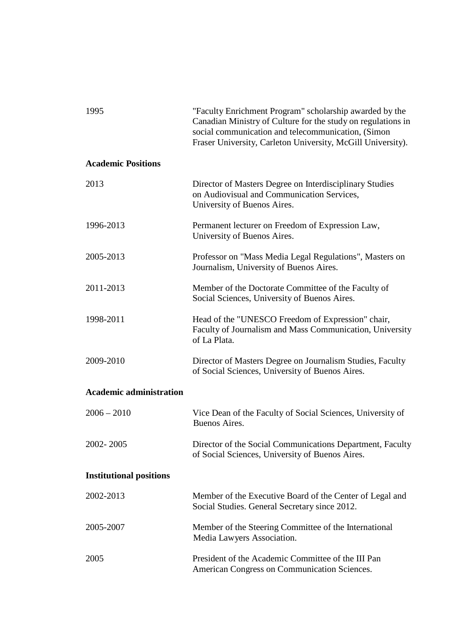| 1995                           | "Faculty Enrichment Program" scholarship awarded by the<br>Canadian Ministry of Culture for the study on regulations in<br>social communication and telecommunication, (Simon<br>Fraser University, Carleton University, McGill University). |
|--------------------------------|----------------------------------------------------------------------------------------------------------------------------------------------------------------------------------------------------------------------------------------------|
| <b>Academic Positions</b>      |                                                                                                                                                                                                                                              |
| 2013                           | Director of Masters Degree on Interdisciplinary Studies<br>on Audiovisual and Communication Services,<br>University of Buenos Aires.                                                                                                         |
| 1996-2013                      | Permanent lecturer on Freedom of Expression Law,<br>University of Buenos Aires.                                                                                                                                                              |
| 2005-2013                      | Professor on "Mass Media Legal Regulations", Masters on<br>Journalism, University of Buenos Aires.                                                                                                                                           |
| 2011-2013                      | Member of the Doctorate Committee of the Faculty of<br>Social Sciences, University of Buenos Aires.                                                                                                                                          |
| 1998-2011                      | Head of the "UNESCO Freedom of Expression" chair,<br>Faculty of Journalism and Mass Communication, University<br>of La Plata.                                                                                                                |
| 2009-2010                      | Director of Masters Degree on Journalism Studies, Faculty<br>of Social Sciences, University of Buenos Aires.                                                                                                                                 |
| <b>Academic administration</b> |                                                                                                                                                                                                                                              |
| $2006 - 2010$                  | Vice Dean of the Faculty of Social Sciences, University of<br>Buenos Aires.                                                                                                                                                                  |
| 2002-2005                      | Director of the Social Communications Department, Faculty<br>of Social Sciences, University of Buenos Aires.                                                                                                                                 |
| <b>Institutional positions</b> |                                                                                                                                                                                                                                              |
| 2002-2013                      | Member of the Executive Board of the Center of Legal and<br>Social Studies. General Secretary since 2012.                                                                                                                                    |
| 2005-2007                      | Member of the Steering Committee of the International<br>Media Lawyers Association.                                                                                                                                                          |
| 2005                           | President of the Academic Committee of the III Pan<br>American Congress on Communication Sciences.                                                                                                                                           |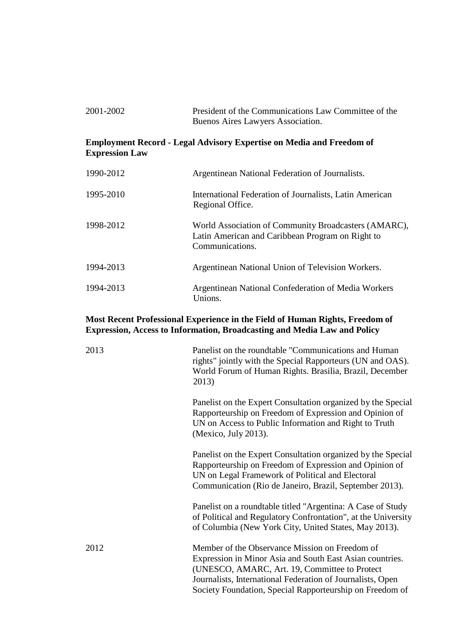| 2001-2002 | President of the Communications Law Committee of the |
|-----------|------------------------------------------------------|
|           | Buenos Aires Lawyers Association.                    |

### **Employment Record - Legal Advisory Expertise on Media and Freedom of Expression Law**

| 1990-2012 | Argentinean National Federation of Journalists.                                                                             |
|-----------|-----------------------------------------------------------------------------------------------------------------------------|
| 1995-2010 | International Federation of Journalists, Latin American<br>Regional Office.                                                 |
| 1998-2012 | World Association of Community Broadcasters (AMARC),<br>Latin American and Caribbean Program on Right to<br>Communications. |
| 1994-2013 | Argentinean National Union of Television Workers.                                                                           |
| 1994-2013 | Argentinean National Confederation of Media Workers<br>Unions.                                                              |

# **Most Recent Professional Experience in the Field of Human Rights, Freedom of Expression, Access to Information, Broadcasting and Media Law and Policy**

| 2013 | Panelist on the roundtable "Communications and Human<br>rights" jointly with the Special Rapporteurs (UN and OAS).<br>World Forum of Human Rights. Brasilia, Brazil, December<br>2013)                                                                                                 |
|------|----------------------------------------------------------------------------------------------------------------------------------------------------------------------------------------------------------------------------------------------------------------------------------------|
|      | Panelist on the Expert Consultation organized by the Special<br>Rapporteurship on Freedom of Expression and Opinion of<br>UN on Access to Public Information and Right to Truth<br>(Mexico, July 2013).                                                                                |
|      | Panelist on the Expert Consultation organized by the Special<br>Rapporteurship on Freedom of Expression and Opinion of<br>UN on Legal Framework of Political and Electoral<br>Communication (Rio de Janeiro, Brazil, September 2013).                                                  |
|      | Panelist on a roundtable titled "Argentina: A Case of Study<br>of Political and Regulatory Confrontation", at the University<br>of Columbia (New York City, United States, May 2013).                                                                                                  |
| 2012 | Member of the Observance Mission on Freedom of<br>Expression in Minor Asia and South East Asian countries.<br>(UNESCO, AMARC, Art. 19, Committee to Protect)<br>Journalists, International Federation of Journalists, Open<br>Society Foundation, Special Rapporteurship on Freedom of |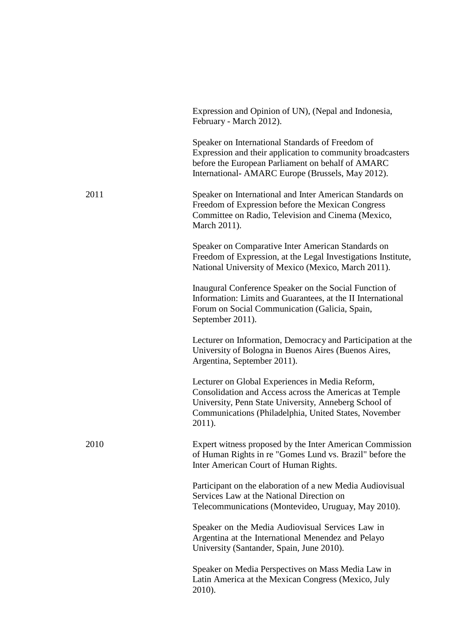|      | Expression and Opinion of UN), (Nepal and Indonesia,<br>February - March 2012).                                                                                                                                                       |
|------|---------------------------------------------------------------------------------------------------------------------------------------------------------------------------------------------------------------------------------------|
|      | Speaker on International Standards of Freedom of<br>Expression and their application to community broadcasters<br>before the European Parliament on behalf of AMARC<br>International- AMARC Europe (Brussels, May 2012).              |
| 2011 | Speaker on International and Inter American Standards on<br>Freedom of Expression before the Mexican Congress<br>Committee on Radio, Television and Cinema (Mexico,<br>March 2011).                                                   |
|      | Speaker on Comparative Inter American Standards on<br>Freedom of Expression, at the Legal Investigations Institute,<br>National University of Mexico (Mexico, March 2011).                                                            |
|      | Inaugural Conference Speaker on the Social Function of<br>Information: Limits and Guarantees, at the II International<br>Forum on Social Communication (Galicia, Spain,<br>September 2011).                                           |
|      | Lecturer on Information, Democracy and Participation at the<br>University of Bologna in Buenos Aires (Buenos Aires,<br>Argentina, September 2011).                                                                                    |
|      | Lecturer on Global Experiences in Media Reform,<br>Consolidation and Access across the Americas at Temple<br>University, Penn State University, Anneberg School of<br>Communications (Philadelphia, United States, November<br>2011). |
| 2010 | Expert witness proposed by the Inter American Commission<br>of Human Rights in re "Gomes Lund vs. Brazil" before the<br>Inter American Court of Human Rights.                                                                         |
|      | Participant on the elaboration of a new Media Audiovisual<br>Services Law at the National Direction on<br>Telecommunications (Montevideo, Uruguay, May 2010).                                                                         |
|      | Speaker on the Media Audiovisual Services Law in<br>Argentina at the International Menendez and Pelayo<br>University (Santander, Spain, June 2010).                                                                                   |
|      | Speaker on Media Perspectives on Mass Media Law in<br>Latin America at the Mexican Congress (Mexico, July<br>2010).                                                                                                                   |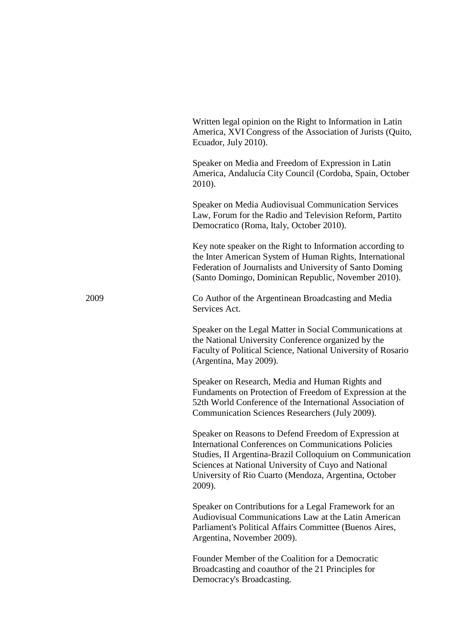Written legal opinion on the Right to Information in Latin America, XVI Congress of the Association of Jurists (Quito, Ecuador, July 2010).

Speaker on Media and Freedom of Expression in Latin America, Andalucía City Council (Cordoba, Spain, October 2010).

Speaker on Media Audiovisual Communication Services Law, Forum for the Radio and Television Reform, Partito Democratico (Roma, Italy, October 2010).

Key note speaker on the Right to Information according to the Inter American System of Human Rights, International Federation of Journalists and University of Santo Doming (Santo Domingo, Dominican Republic, November 2010).

2009 Co Author of the Argentinean Broadcasting and Media Services Act.

> Speaker on the Legal Matter in Social Communications at the National University Conference organized by the Faculty of Political Science, National University of Rosario (Argentina, May 2009).

> Speaker on Research, Media and Human Rights and Fundaments on Protection of Freedom of Expression at the 52th World Conference of the International Association of Communication Sciences Researchers (July 2009).

Speaker on Reasons to Defend Freedom of Expression at International Conferences on Communications Policies Studies, II Argentina-Brazil Colloquium on Communication Sciences at National University of Cuyo and National University of Rio Cuarto (Mendoza, Argentina, October 2009).

Speaker on Contributions for a Legal Framework for an Audiovisual Communications Law at the Latin American Parliament's Political Affairs Committee (Buenos Aires, Argentina, November 2009).

Founder Member of the Coalition for a Democratic Broadcasting and coauthor of the 21 Principles for Democracy's Broadcasting.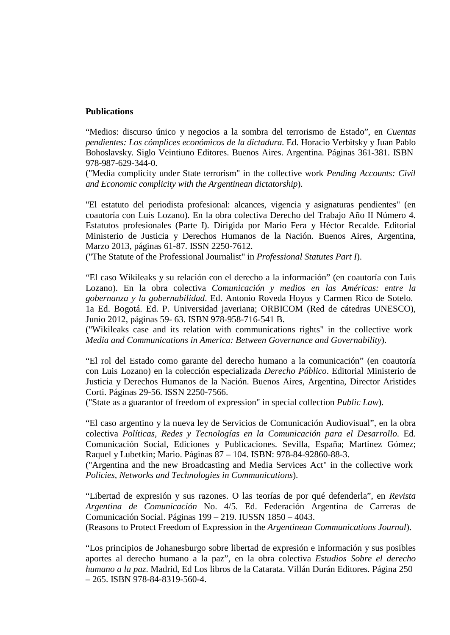#### **Publications**

"Medios: discurso único y negocios a la sombra del terrorismo de Estado", en *Cuentas pendientes: Los cómplices económicos de la dictadura*. Ed. Horacio Verbitsky y Juan Pablo Bohoslavsky. Siglo Veintiuno Editores. Buenos Aires. Argentina. Páginas 361-381. ISBN 978-987-629-344-0.

("Media complicity under State terrorism" in the collective work *Pending Accounts: Civil and Economic complicity with the Argentinean dictatorship*).

"El estatuto del periodista profesional: alcances, vigencia y asignaturas pendientes" (en coautoría con Luis Lozano). En la obra colectiva Derecho del Trabajo Año II Número 4. Estatutos profesionales (Parte I). Dirigida por Mario Fera y Héctor Recalde. Editorial Ministerio de Justicia y Derechos Humanos de la Nación. Buenos Aires, Argentina, Marzo 2013, páginas 61-87. ISSN 2250-7612.

("The Statute of the Professional Journalist" in *Professional Statutes Part I*).

"El caso Wikileaks y su relación con el derecho a la información" (en coautoría con Luis Lozano). En la obra colectiva *Comunicación y medios en las Américas: entre la gobernanza y la gobernabilidad*. Ed. Antonio Roveda Hoyos y Carmen Rico de Sotelo. 1a Ed. Bogotá. Ed. P. Universidad javeriana; ORBICOM (Red de cátedras UNESCO), Junio 2012, páginas 59- 63. ISBN 978-958-716-541 B.

("Wikileaks case and its relation with communications rights" in the collective work *Media and Communications in America: Between Governance and Governability*).

"El rol del Estado como garante del derecho humano a la comunicación" (en coautoría con Luis Lozano) en la colección especializada *Derecho Público*. Editorial Ministerio de Justicia y Derechos Humanos de la Nación. Buenos Aires, Argentina, Director Aristides Corti. Páginas 29-56. ISSN 2250-7566.

("State as a guarantor of freedom of expression" in special collection *Public Law*).

"El caso argentino y la nueva ley de Servicios de Comunicación Audiovisual", en la obra colectiva *Políticas, Redes y Tecnologías en la Comunicación para el Desarrollo*. Ed. Comunicación Social, Ediciones y Publicaciones. Sevilla, España; Martínez Gómez; Raquel y Lubetkin; Mario. Páginas 87 – 104. ISBN: 978-84-92860-88-3.

("Argentina and the new Broadcasting and Media Services Act" in the collective work *Policies, Networks and Technologies in Communications*).

"Libertad de expresión y sus razones. O las teorías de por qué defenderla", en *Revista Argentina de Comunicación* No. 4/5. Ed. Federación Argentina de Carreras de Comunicación Social. Páginas 199 – 219. IUSSN 1850 – 4043.

(Reasons to Protect Freedom of Expression in the *Argentinean Communications Journal*).

"Los principios de Johanesburgo sobre libertad de expresión e información y sus posibles aportes al derecho humano a la paz", en la obra colectiva *Estudios Sobre el derecho humano a la paz*. Madrid, Ed Los libros de la Catarata. Villán Durán Editores. Página 250 – 265. ISBN 978-84-8319-560-4.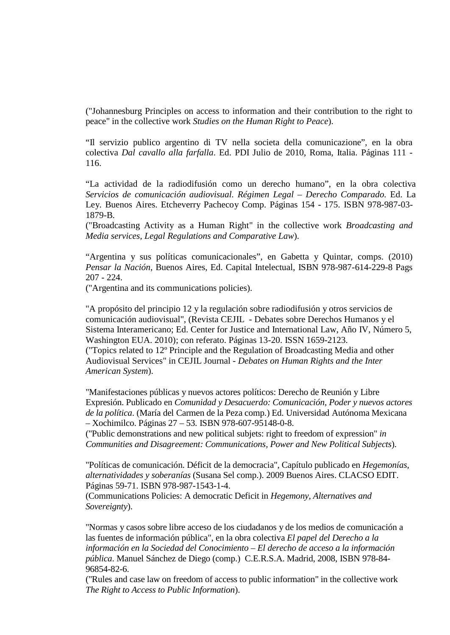("Johannesburg Principles on access to information and their contribution to the right to peace" in the collective work *Studies on the Human Right to Peace*).

"Il servizio publico argentino di TV nella societa della comunicazione", en la obra colectiva *Dal cavallo alla farfalla*. Ed. PDI Julio de 2010, Roma, Italia. Páginas 111 - 116.

"La actividad de la radiodifusión como un derecho humano", en la obra colectiva *Servicios de comunicación audiovisual. Régimen Legal – Derecho Comparado.* Ed. La Ley. Buenos Aires. Etcheverry Pachecoy Comp. Páginas 154 - 175. ISBN 978-987-03- 1879-B.

("Broadcasting Activity as a Human Right" in the collective work *Broadcasting and Media services, Legal Regulations and Comparative Law*).

"Argentina y sus políticas comunicacionales", en Gabetta y Quintar, comps. (2010) *Pensar la Nación*, Buenos Aires, Ed. Capital Intelectual, ISBN 978-987-614-229-8 Pags 207 - 224.

("Argentina and its communications policies).

"A propósito del principio 12 y la regulación sobre radiodifusión y otros servicios de comunicación audiovisual", (Revista CEJIL - Debates sobre Derechos Humanos y el Sistema Interamericano; Ed. Center for Justice and International Law, Año IV, Número 5, Washington EUA. 2010); con referato. Páginas 13-20. ISSN 1659-2123. ("Topics related to 12º Principle and the Regulation of Broadcasting Media and other Audiovisual Services" in CEJIL Journal - *Debates on Human Rights and the Inter American System*).

"Manifestaciones públicas y nuevos actores políticos: Derecho de Reunión y Libre Expresión. Publicado en *Comunidad y Desacuerdo: Comunicación, Poder y nuevos actores de la política*. (María del Carmen de la Peza comp.) Ed. Universidad Autónoma Mexicana – Xochimilco. Páginas 27 – 53. ISBN 978-607-95148-0-8.

("Public demonstrations and new political subjets: right to freedom of expression" *in Communities and Disagreement: Communications, Power and New Political Subjects*).

"Políticas de comunicación. Déficit de la democracia", Capítulo publicado en *Hegemonías, alternatividades y soberanías* (Susana Sel comp.). 2009 Buenos Aires. CLACSO EDIT. Páginas 59-71. ISBN 978-987-1543-1-4.

(Communications Policies: A democratic Deficit in *Hegemony, Alternatives and Sovereignty*).

"Normas y casos sobre libre acceso de los ciudadanos y de los medios de comunicación a las fuentes de información pública", en la obra colectiva *El papel del Derecho a la información en la Sociedad del Conocimiento – El derecho de acceso a la información pública*. Manuel Sánchez de Diego (comp.) C.E.R.S.A. Madrid, 2008, ISBN 978-84- 96854-82-6.

("Rules and case law on freedom of access to public information" in the collective work *The Right to Access to Public Information*).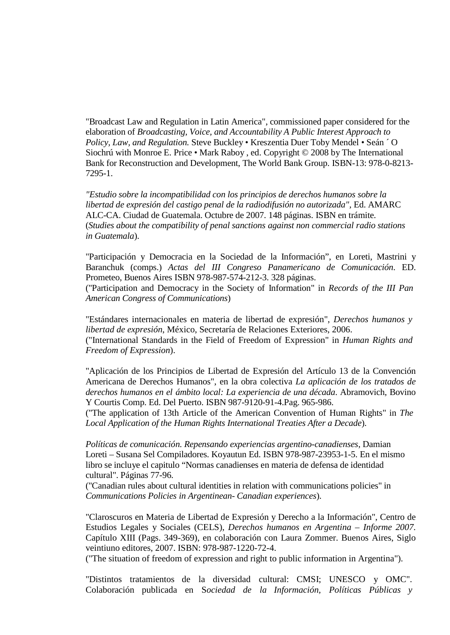"Broadcast Law and Regulation in Latin America", commissioned paper considered for the elaboration of *Broadcasting, Voice, and Accountability A Public Interest Approach to Policy, Law, and Regulation.* Steve Buckley • Kreszentia Duer Toby Mendel • Seán ´ O Siochrú with Monroe E. Price • Mark Raboy , ed. Copyright © 2008 by The International Bank for Reconstruction and Development, The World Bank Group. ISBN-13: 978-0-8213- 7295-1.

*"Estudio sobre la incompatibilidad con los principios de derechos humanos sobre la libertad de expresión del castigo penal de la radiodifusión no autorizada",* Ed. AMARC ALC-CA. Ciudad de Guatemala. Octubre de 2007. 148 páginas. ISBN en trámite. (*Studies about the compatibility of penal sanctions against non commercial radio stations in Guatemala*).

"Participación y Democracia en la Sociedad de la Información", en Loreti, Mastrini y Baranchuk (comps.) *Actas del III Congreso Panamericano de Comunicación*. ED. Prometeo, Buenos Aires ISBN 978-987-574-212-3. 328 páginas. ("Participation and Democracy in the Society of Information" in *Records of the III Pan American Congress of Communications*)

"Estándares internacionales en materia de libertad de expresión", *Derechos humanos y libertad de expresión*, México, Secretaría de Relaciones Exteriores, 2006. ("International Standards in the Field of Freedom of Expression" in *Human Rights and Freedom of Expression*).

"Aplicación de los Principios de Libertad de Expresión del Artículo 13 de la Convención Americana de Derechos Humanos", en la obra colectiva *La aplicación de los tratados de derechos humanos en el ámbito local: La experiencia de una década*. Abramovich, Bovino Y Courtis Comp. Ed. Del Puerto. ISBN 987-9120-91-4.Pag. 965-986.

("The application of 13th Article of the American Convention of Human Rights" in *The Local Application of the Human Rights International Treaties After a Decade*).

*Políticas de comunicación. Repensando experiencias argentino-canadienses*, Damian Loreti – Susana Sel Compiladores. Koyautun Ed. ISBN 978-987-23953-1-5. En el mismo libro se incluye el capitulo "Normas canadienses en materia de defensa de identidad cultural". Páginas 77-96.

("Canadian rules about cultural identities in relation with communications policies" in *Communications Policies in Argentinean- Canadian experiences*).

"Claroscuros en Materia de Libertad de Expresión y Derecho a la Información", Centro de Estudios Legales y Sociales (CELS), *Derechos humanos en Argentina – Informe 2007.*  Capítulo XIII (Pags. 349-369), en colaboración con Laura Zommer. Buenos Aires, Siglo veintiuno editores, 2007. ISBN: 978-987-1220-72-4.

("The situation of freedom of expression and right to public information in Argentina").

"Distintos tratamientos de la diversidad cultural: CMSI; UNESCO y OMC". Colaboración publicada en S*ociedad de la Información, Políticas Públicas y*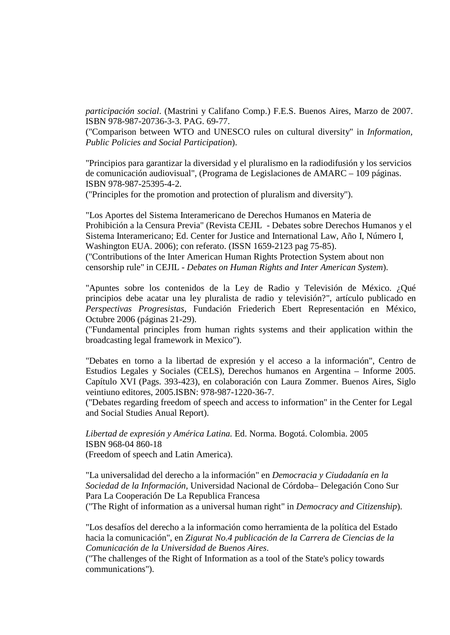*participación social*. (Mastrini y Califano Comp.) F.E.S. Buenos Aires, Marzo de 2007. ISBN 978-987-20736-3-3. PAG. 69-77.

("Comparison between WTO and UNESCO rules on cultural diversity" in *Information, Public Policies and Social Participation*).

"Principios para garantizar la diversidad y el pluralismo en la radiodifusión y los servicios de comunicación audiovisual", (Programa de Legislaciones de AMARC – 109 páginas. ISBN 978-987-25395-4-2.

("Principles for the promotion and protection of pluralism and diversity").

"Los Aportes del Sistema Interamericano de Derechos Humanos en Materia de Prohibición a la Censura Previa" (Revista CEJIL - Debates sobre Derechos Humanos y el Sistema Interamericano; Ed. Center for Justice and International Law, Año I, Número I, Washington EUA. 2006); con referato. (ISSN 1659-2123 pag 75-85). ("Contributions of the Inter American Human Rights Protection System about non censorship rule" in CEJIL - *Debates on Human Rights and Inter American System*).

"Apuntes sobre los contenidos de la Ley de Radio y Televisión de México. ¿Qué principios debe acatar una ley pluralista de radio y televisión?", artículo publicado en *Perspectivas Progresistas*, Fundación Friederich Ebert Representación en México, Octubre 2006 (páginas 21-29).

("Fundamental principles from human rights systems and their application within the broadcasting legal framework in Mexico").

"Debates en torno a la libertad de expresión y el acceso a la información", Centro de Estudios Legales y Sociales (CELS), Derechos humanos en Argentina – Informe 2005. Capítulo XVI (Pags. 393-423), en colaboración con Laura Zommer. Buenos Aires, Siglo veintiuno editores, 2005.ISBN: 978-987-1220-36-7.

("Debates regarding freedom of speech and access to information" in the Center for Legal and Social Studies Anual Report).

*Libertad de expresión y América Latina.* Ed. Norma. Bogotá. Colombia. 2005 ISBN 968-04 860-18 (Freedom of speech and Latin America).

"La universalidad del derecho a la información" en *Democracia y Ciudadanía en la Sociedad de la Información*, Universidad Nacional de Córdoba– Delegación Cono Sur Para La Cooperación De La Republica Francesa

("The Right of information as a universal human right" in *Democracy and Citizenship*).

"Los desafíos del derecho a la información como herramienta de la política del Estado hacia la comunicación", en *Zigurat No.4 publicación de la Carrera de Ciencias de la Comunicación de la Universidad de Buenos Aires*.

("The challenges of the Right of Information as a tool of the State's policy towards communications").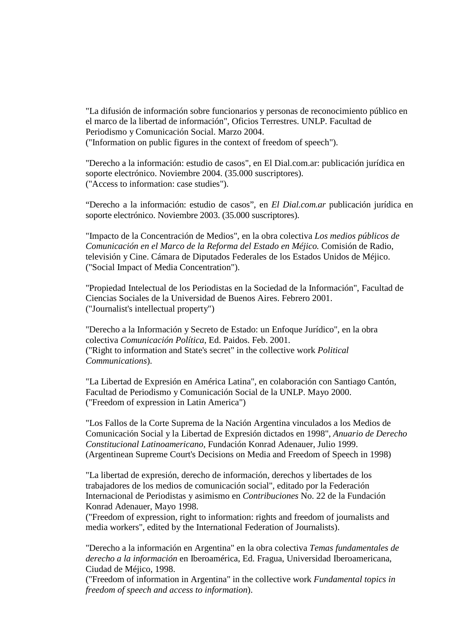"La difusión de información sobre funcionarios y personas de reconocimiento público en el marco de la libertad de información", Oficios Terrestres. UNLP. Facultad de Periodismo y Comunicación Social. Marzo 2004. ("Information on public figures in the context of freedom of speech").

"Derecho a la información: estudio de casos", en El Dial.com.ar: publicación jurídica en soporte electrónico. Noviembre 2004. (35.000 suscriptores). ("Access to information: case studies").

"Derecho a la información: estudio de casos", en *El Dial.com.ar* publicación jurídica en soporte electrónico. Noviembre 2003. (35.000 suscriptores).

"Impacto de la Concentración de Medios", en la obra colectiva *Los medios públicos de Comunicación en el Marco de la Reforma del Estado en Méjico.* Comisión de Radio, televisión y Cine. Cámara de Diputados Federales de los Estados Unidos de Méjico. ("Social Impact of Media Concentration").

"Propiedad Intelectual de los Periodistas en la Sociedad de la Información", Facultad de Ciencias Sociales de la Universidad de Buenos Aires. Febrero 2001. ("Journalist's intellectual property")

"Derecho a la Información y Secreto de Estado: un Enfoque Jurídico", en la obra colectiva *Comunicación Política*, Ed. Paidos. Feb. 2001. ("Right to information and State's secret" in the collective work *Political Communications*).

"La Libertad de Expresión en América Latina", en colaboración con Santiago Cantón, Facultad de Periodismo y Comunicación Social de la UNLP. Mayo 2000. ("Freedom of expression in Latin America")

"Los Fallos de la Corte Suprema de la Nación Argentina vinculados a los Medios de Comunicación Social y la Libertad de Expresión dictados en 1998", *Anuario de Derecho Constitucional Latinoamericano*, Fundación Konrad Adenauer, Julio 1999. (Argentinean Supreme Court's Decisions on Media and Freedom of Speech in 1998)

"La libertad de expresión, derecho de información, derechos y libertades de los trabajadores de los medios de comunicación social", editado por la Federación Internacional de Periodistas y asimismo en *Contribuciones* No. 22 de la Fundación Konrad Adenauer, Mayo 1998.

("Freedom of expression, right to information: rights and freedom of journalists and media workers", edited by the International Federation of Journalists).

"Derecho a la información en Argentina" en la obra colectiva *Temas fundamentales de derecho a la información* en Iberoamérica, Ed. Fragua, Universidad Iberoamericana, Ciudad de Méjico, 1998.

("Freedom of information in Argentina" in the collective work *Fundamental topics in freedom of speech and access to information*).